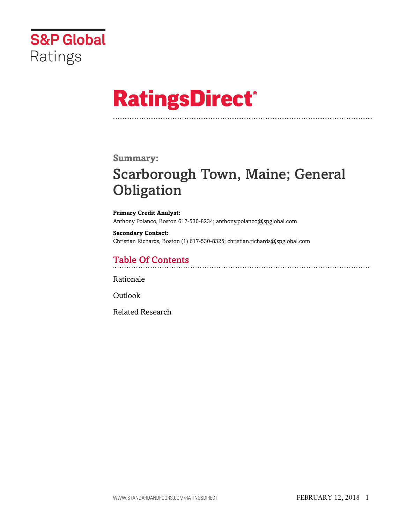

# **RatingsDirect®**

### **Summary:**

# Scarborough Town, Maine; General **Obligation**

**Primary Credit Analyst:** Anthony Polanco, Boston 617-530-8234; anthony.polanco@spglobal.com

**Secondary Contact:** Christian Richards, Boston (1) 617-530-8325; christian.richards@spglobal.com

# Table Of Contents

[Rationale](#page-1-0)

[Outlook](#page-4-0)

[Related Research](#page-4-1)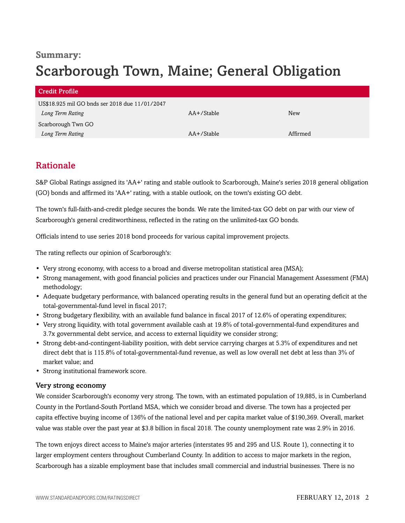# **Summary:** Scarborough Town, Maine; General Obligation

| <b>Credit Profile</b>                          |            |          |
|------------------------------------------------|------------|----------|
| US\$18.925 mil GO bnds ser 2018 due 11/01/2047 |            |          |
| Long Term Rating                               | AA+/Stable | New      |
| Scarborough Twn GO                             |            |          |
| Long Term Rating                               | AA+/Stable | Affirmed |

## <span id="page-1-0"></span>Rationale

S&P Global Ratings assigned its 'AA+' rating and stable outlook to Scarborough, Maine's series 2018 general obligation (GO) bonds and affirmed its 'AA+' rating, with a stable outlook, on the town's existing GO debt.

The town's full-faith-and-credit pledge secures the bonds. We rate the limited-tax GO debt on par with our view of Scarborough's general creditworthiness, reflected in the rating on the unlimited-tax GO bonds.

Officials intend to use series 2018 bond proceeds for various capital improvement projects.

The rating reflects our opinion of Scarborough's:

- Very strong economy, with access to a broad and diverse metropolitan statistical area (MSA);
- Strong management, with good financial policies and practices under our Financial Management Assessment (FMA) methodology;
- Adequate budgetary performance, with balanced operating results in the general fund but an operating deficit at the total-governmental-fund level in fiscal 2017;
- Strong budgetary flexibility, with an available fund balance in fiscal 2017 of 12.6% of operating expenditures;
- Very strong liquidity, with total government available cash at 19.8% of total-governmental-fund expenditures and 3.7x governmental debt service, and access to external liquidity we consider strong;
- Strong debt-and-contingent-liability position, with debt service carrying charges at 5.3% of expenditures and net direct debt that is 115.8% of total-governmental-fund revenue, as well as low overall net debt at less than 3% of market value; and
- Strong institutional framework score.

#### Very strong economy

We consider Scarborough's economy very strong. The town, with an estimated population of 19,885, is in Cumberland County in the Portland-South Portland MSA, which we consider broad and diverse. The town has a projected per capita effective buying income of 136% of the national level and per capita market value of \$190,369. Overall, market value was stable over the past year at \$3.8 billion in fiscal 2018. The county unemployment rate was 2.9% in 2016.

The town enjoys direct access to Maine's major arteries (interstates 95 and 295 and U.S. Route 1), connecting it to larger employment centers throughout Cumberland County. In addition to access to major markets in the region, Scarborough has a sizable employment base that includes small commercial and industrial businesses. There is no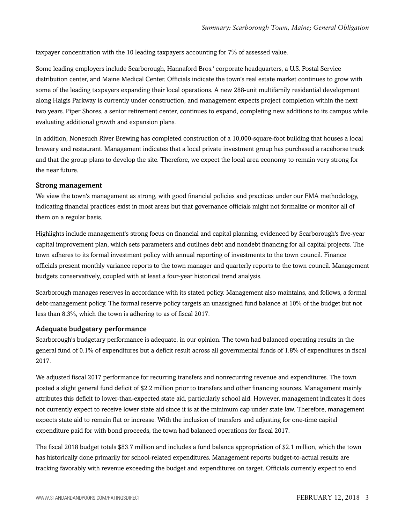taxpayer concentration with the 10 leading taxpayers accounting for 7% of assessed value.

Some leading employers include Scarborough, Hannaford Bros.' corporate headquarters, a U.S. Postal Service distribution center, and Maine Medical Center. Officials indicate the town's real estate market continues to grow with some of the leading taxpayers expanding their local operations. A new 288-unit multifamily residential development along Haigis Parkway is currently under construction, and management expects project completion within the next two years. Piper Shores, a senior retirement center, continues to expand, completing new additions to its campus while evaluating additional growth and expansion plans.

In addition, Nonesuch River Brewing has completed construction of a 10,000-square-foot building that houses a local brewery and restaurant. Management indicates that a local private investment group has purchased a racehorse track and that the group plans to develop the site. Therefore, we expect the local area economy to remain very strong for the near future.

#### Strong management

We view the town's management as strong, with good financial policies and practices under our FMA methodology, indicating financial practices exist in most areas but that governance officials might not formalize or monitor all of them on a regular basis.

Highlights include management's strong focus on financial and capital planning, evidenced by Scarborough's five-year capital improvement plan, which sets parameters and outlines debt and nondebt financing for all capital projects. The town adheres to its formal investment policy with annual reporting of investments to the town council. Finance officials present monthly variance reports to the town manager and quarterly reports to the town council. Management budgets conservatively, coupled with at least a four-year historical trend analysis.

Scarborough manages reserves in accordance with its stated policy. Management also maintains, and follows, a formal debt-management policy. The formal reserve policy targets an unassigned fund balance at 10% of the budget but not less than 8.3%, which the town is adhering to as of fiscal 2017.

#### Adequate budgetary performance

Scarborough's budgetary performance is adequate, in our opinion. The town had balanced operating results in the general fund of 0.1% of expenditures but a deficit result across all governmental funds of 1.8% of expenditures in fiscal 2017.

We adjusted fiscal 2017 performance for recurring transfers and nonrecurring revenue and expenditures. The town posted a slight general fund deficit of \$2.2 million prior to transfers and other financing sources. Management mainly attributes this deficit to lower-than-expected state aid, particularly school aid. However, management indicates it does not currently expect to receive lower state aid since it is at the minimum cap under state law. Therefore, management expects state aid to remain flat or increase. With the inclusion of transfers and adjusting for one-time capital expenditure paid for with bond proceeds, the town had balanced operations for fiscal 2017.

The fiscal 2018 budget totals \$83.7 million and includes a fund balance appropriation of \$2.1 million, which the town has historically done primarily for school-related expenditures. Management reports budget-to-actual results are tracking favorably with revenue exceeding the budget and expenditures on target. Officials currently expect to end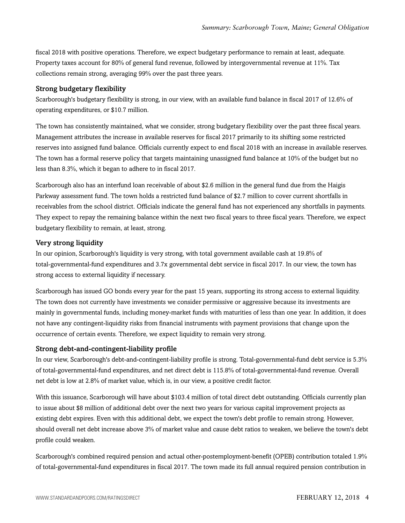fiscal 2018 with positive operations. Therefore, we expect budgetary performance to remain at least, adequate. Property taxes account for 80% of general fund revenue, followed by intergovernmental revenue at 11%. Tax collections remain strong, averaging 99% over the past three years.

#### Strong budgetary flexibility

Scarborough's budgetary flexibility is strong, in our view, with an available fund balance in fiscal 2017 of 12.6% of operating expenditures, or \$10.7 million.

The town has consistently maintained, what we consider, strong budgetary flexibility over the past three fiscal years. Management attributes the increase in available reserves for fiscal 2017 primarily to its shifting some restricted reserves into assigned fund balance. Officials currently expect to end fiscal 2018 with an increase in available reserves. The town has a formal reserve policy that targets maintaining unassigned fund balance at 10% of the budget but no less than 8.3%, which it began to adhere to in fiscal 2017.

Scarborough also has an interfund loan receivable of about \$2.6 million in the general fund due from the Haigis Parkway assessment fund. The town holds a restricted fund balance of \$2.7 million to cover current shortfalls in receivables from the school district. Officials indicate the general fund has not experienced any shortfalls in payments. They expect to repay the remaining balance within the next two fiscal years to three fiscal years. Therefore, we expect budgetary flexibility to remain, at least, strong.

#### Very strong liquidity

In our opinion, Scarborough's liquidity is very strong, with total government available cash at 19.8% of total-governmental-fund expenditures and 3.7x governmental debt service in fiscal 2017. In our view, the town has strong access to external liquidity if necessary.

Scarborough has issued GO bonds every year for the past 15 years, supporting its strong access to external liquidity. The town does not currently have investments we consider permissive or aggressive because its investments are mainly in governmental funds, including money-market funds with maturities of less than one year. In addition, it does not have any contingent-liquidity risks from financial instruments with payment provisions that change upon the occurrence of certain events. Therefore, we expect liquidity to remain very strong.

#### Strong debt-and-contingent-liability profile

In our view, Scarborough's debt-and-contingent-liability profile is strong. Total-governmental-fund debt service is 5.3% of total-governmental-fund expenditures, and net direct debt is 115.8% of total-governmental-fund revenue. Overall net debt is low at 2.8% of market value, which is, in our view, a positive credit factor.

With this issuance, Scarborough will have about \$103.4 million of total direct debt outstanding. Officials currently plan to issue about \$8 million of additional debt over the next two years for various capital improvement projects as existing debt expires. Even with this additional debt, we expect the town's debt profile to remain strong. However, should overall net debt increase above 3% of market value and cause debt ratios to weaken, we believe the town's debt profile could weaken.

Scarborough's combined required pension and actual other-postemployment-benefit (OPEB) contribution totaled 1.9% of total-governmental-fund expenditures in fiscal 2017. The town made its full annual required pension contribution in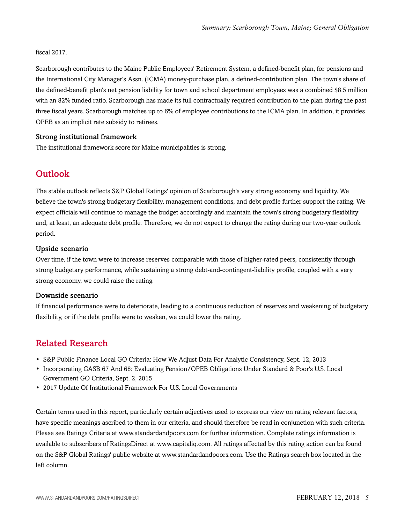fiscal 2017.

Scarborough contributes to the Maine Public Employees' Retirement System, a defined-benefit plan, for pensions and the International City Manager's Assn. (ICMA) money-purchase plan, a defined-contribution plan. The town's share of the defined-benefit plan's net pension liability for town and school department employees was a combined \$8.5 million with an 82% funded ratio. Scarborough has made its full contractually required contribution to the plan during the past three fiscal years. Scarborough matches up to 6% of employee contributions to the ICMA plan. In addition, it provides OPEB as an implicit rate subsidy to retirees.

#### Strong institutional framework

<span id="page-4-0"></span>The institutional framework score for Maine municipalities is strong.

### **Outlook**

The stable outlook reflects S&P Global Ratings' opinion of Scarborough's very strong economy and liquidity. We believe the town's strong budgetary flexibility, management conditions, and debt profile further support the rating. We expect officials will continue to manage the budget accordingly and maintain the town's strong budgetary flexibility and, at least, an adequate debt profile. Therefore, we do not expect to change the rating during our two-year outlook period.

#### Upside scenario

Over time, if the town were to increase reserves comparable with those of higher-rated peers, consistently through strong budgetary performance, while sustaining a strong debt-and-contingent-liability profile, coupled with a very strong economy, we could raise the rating.

#### Downside scenario

If financial performance were to deteriorate, leading to a continuous reduction of reserves and weakening of budgetary flexibility, or if the debt profile were to weaken, we could lower the rating.

### <span id="page-4-1"></span>Related Research

- S&P Public Finance Local GO Criteria: How We Adjust Data For Analytic Consistency, Sept. 12, 2013
- Incorporating GASB 67 And 68: Evaluating Pension/OPEB Obligations Under Standard & Poor's U.S. Local Government GO Criteria, Sept. 2, 2015
- 2017 Update Of Institutional Framework For U.S. Local Governments

Certain terms used in this report, particularly certain adjectives used to express our view on rating relevant factors, have specific meanings ascribed to them in our criteria, and should therefore be read in conjunction with such criteria. Please see Ratings Criteria at www.standardandpoors.com for further information. Complete ratings information is available to subscribers of RatingsDirect at www.capitaliq.com. All ratings affected by this rating action can be found on the S&P Global Ratings' public website at www.standardandpoors.com. Use the Ratings search box located in the left column.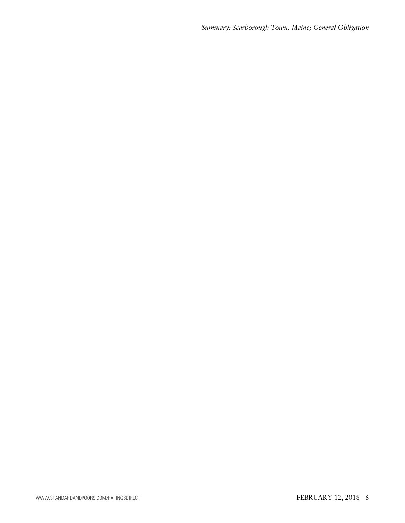*Summary: Scarborough Town, Maine; General Obligation*